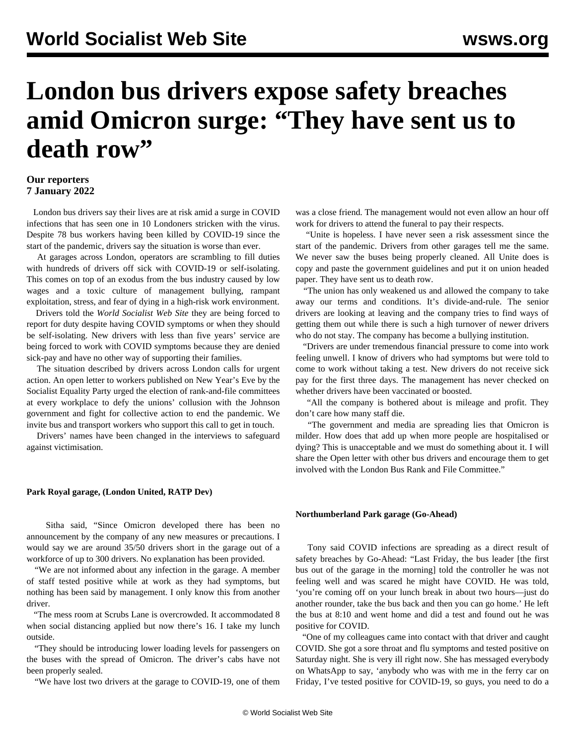# **London bus drivers expose safety breaches amid Omicron surge: "They have sent us to death row"**

### **Our reporters 7 January 2022**

 London bus drivers say their lives are at risk amid a surge in COVID infections that has seen one in 10 Londoners stricken with the virus. Despite 78 bus workers having been killed by COVID-19 since the start of the pandemic, drivers say the situation is worse than ever.

 At garages across London, operators are scrambling to fill duties with hundreds of drivers off sick with COVID-19 or self-isolating. This comes on top of an exodus from the bus industry caused by low wages and a toxic culture of management bullying, rampant exploitation, stress, and fear of dying in a high-risk work environment.

 Drivers told the *World Socialist Web Site* they are being forced to report for duty despite having COVID symptoms or when they should be self-isolating. New drivers with less than five years' service are being forced to work with COVID symptoms because they are denied sick-pay and have no other way of supporting their families.

 The situation described by drivers across London calls for urgent action. An [open letter to workers](/en/articles/2021/12/31/open-d31.html) published on New Year's Eve by the Socialist Equality Party urged the election of rank-and-file committees at every workplace to defy the unions' collusion with the Johnson government and fight for collective action to end the pandemic. We invite bus and transport workers who support this call to [get in touch.](/en/special/pages/more-rank-and-file.html)

 Drivers' names have been changed in the interviews to safeguard against victimisation.

#### **Park Royal garage, (London United, RATP Dev)**

 Sitha said, "Since Omicron developed there has been no announcement by the company of any new measures or precautions. I would say we are around 35/50 drivers short in the garage out of a workforce of up to 300 drivers. No explanation has been provided.

 "We are not informed about any infection in the garage. A member of staff tested positive while at work as they had symptoms, but nothing has been said by management. I only know this from another driver.

 "The mess room at Scrubs Lane is overcrowded. It accommodated 8 when social distancing applied but now there's 16. I take my lunch outside.

 "They should be introducing lower loading levels for passengers on the buses with the spread of Omicron. The driver's cabs have not been properly sealed.

"We have lost two drivers at the garage to COVID-19, one of them

was a close friend. The management would not even allow an hour off work for drivers to attend the funeral to pay their respects.

 "Unite is hopeless. I have never seen a risk assessment since the start of the pandemic. Drivers from other garages tell me the same. We never saw the buses being properly cleaned. All Unite does is copy and paste the government guidelines and put it on union headed paper. They have sent us to death row.

 "The union has only weakened us and allowed the company to take away our terms and conditions. It's divide-and-rule. The senior drivers are looking at leaving and the company tries to find ways of getting them out while there is such a high turnover of newer drivers who do not stay. The company has become a bullying institution.

 "Drivers are under tremendous financial pressure to come into work feeling unwell. I know of drivers who had symptoms but were told to come to work without taking a test. New drivers do not receive sick pay for the first three days. The management has never checked on whether drivers have been vaccinated or boosted.

 "All the company is bothered about is mileage and profit. They don't care how many staff die.

 "The government and media are spreading lies that Omicron is milder. How does that add up when more people are hospitalised or dying? This is unacceptable and we must do something about it. I will share the Open letter with other bus drivers and encourage them to get involved with the London Bus Rank and File Committee."

#### **Northumberland Park garage (Go-Ahead)**

 Tony said COVID infections are spreading as a direct result of safety breaches by Go-Ahead: "Last Friday, the bus leader [the first bus out of the garage in the morning] told the controller he was not feeling well and was scared he might have COVID. He was told, 'you're coming off on your lunch break in about two hours—just do another rounder, take the bus back and then you can go home.' He left the bus at 8:10 and went home and did a test and found out he was positive for COVID.

 "One of my colleagues came into contact with that driver and caught COVID. She got a sore throat and flu symptoms and tested positive on Saturday night. She is very ill right now. She has messaged everybody on WhatsApp to say, 'anybody who was with me in the ferry car on Friday, I've tested positive for COVID-19, so guys, you need to do a